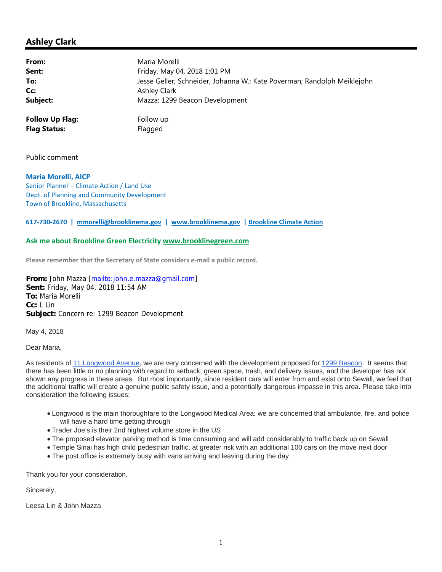## **Ashley Clark**

| From:                  | Maria Morelli                                                           |
|------------------------|-------------------------------------------------------------------------|
| Sent:                  | Friday, May 04, 2018 1:01 PM                                            |
| To:                    | Jesse Geller; Schneider, Johanna W.; Kate Poverman; Randolph Meiklejohn |
| Cc:                    | Ashley Clark                                                            |
| Subject:               | Mazza: 1299 Beacon Development                                          |
| <b>Follow Up Flag:</b> | Follow up                                                               |
| <b>Flag Status:</b>    | Flagged                                                                 |

Public comment

**Maria Morelli, AICP** Senior Planner – Climate Action / Land Use Dept. of Planning and Community Development Town of Brookline, Massachusetts

## **617‐730‐2670 | mmorelli@brooklinema.gov | www.brooklinema.gov | Brookline Climate Action**

## **Ask me about Brookline Green Electricity www.brooklinegreen.com**

**Please remember that the Secretary of State considers e‐mail a public record.**

**From:** John Mazza [mailto:john.e.mazza@gmail.com] **Sent:** Friday, May 04, 2018 11:54 AM **To:** Maria Morelli **Cc:** L Lin **Subject:** Concern re: 1299 Beacon Development

May 4, 2018

Dear Maria,

As residents of 11 Longwood Avenue, we are very concerned with the development proposed for 1299 Beacon. It seems that there has been little or no planning with regard to setback, green space, trash, and delivery issues, and the developer has not shown any progress in these areas. But most importantly, since resident cars will enter from and exist onto Sewall, we feel that the additional traffic will create a genuine public safety issue, and a potentially dangerous impasse in this area. Please take into consideration the following issues:

- Longwood is the main thoroughfare to the Longwood Medical Area: we are concerned that ambulance, fire, and police will have a hard time getting through
- Trader Joe's is their 2nd highest volume store in the US
- The proposed elevator parking method is time consuming and will add considerably to traffic back up on Sewall
- Temple Sinai has high child pedestrian traffic, at greater risk with an additional 100 cars on the move next door
- The post office is extremely busy with vans arriving and leaving during the day

Thank you for your consideration.

Sincerely,

Leesa Lin & John Mazza